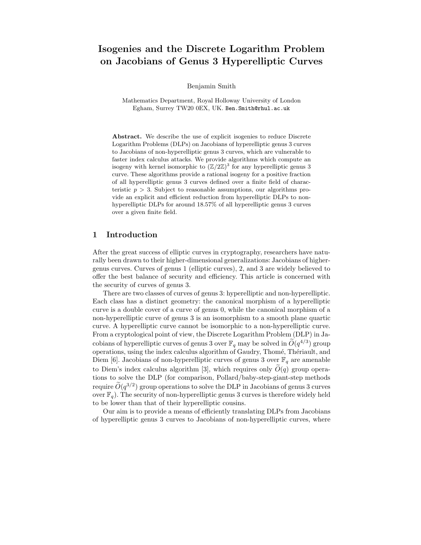# Isogenies and the Discrete Logarithm Problem on Jacobians of Genus 3 Hyperelliptic Curves

Benjamin Smith

Mathematics Department, Royal Holloway University of London Egham, Surrey TW20 0EX, UK. Ben.Smith@rhul.ac.uk

Abstract. We describe the use of explicit isogenies to reduce Discrete Logarithm Problems (DLPs) on Jacobians of hyperelliptic genus 3 curves to Jacobians of non-hyperelliptic genus 3 curves, which are vulnerable to faster index calculus attacks. We provide algorithms which compute an isogeny with kernel isomorphic to  $(\mathbb{Z}/2\mathbb{Z})^3$  for any hyperelliptic genus 3 curve. These algorithms provide a rational isogeny for a positive fraction of all hyperelliptic genus 3 curves defined over a finite field of characteristic  $p > 3$ . Subject to reasonable assumptions, our algorithms provide an explicit and efficient reduction from hyperelliptic DLPs to nonhyperelliptic DLPs for around 18.57% of all hyperelliptic genus 3 curves over a given finite field.

## 1 Introduction

After the great success of elliptic curves in cryptography, researchers have naturally been drawn to their higher-dimensional generalizations: Jacobians of highergenus curves. Curves of genus 1 (elliptic curves), 2, and 3 are widely believed to offer the best balance of security and efficiency. This article is concerned with the security of curves of genus 3.

There are two classes of curves of genus 3: hyperelliptic and non-hyperelliptic. Each class has a distinct geometry: the canonical morphism of a hyperelliptic curve is a double cover of a curve of genus 0, while the canonical morphism of a non-hyperelliptic curve of genus 3 is an isomorphism to a smooth plane quartic curve. A hyperelliptic curve cannot be isomorphic to a non-hyperelliptic curve. From a cryptological point of view, the Discrete Logarithm Problem (DLP) in Jacobians of hyperelliptic curves of genus 3 over  $\mathbb{F}_q$  may be solved in  $\widetilde{O}(q^{4/3})$  group operations, using the index calculus algorithm of Gaudry, Thomé, Thériault, and Diem [6]. Jacobians of non-hyperelliptic curves of genus 3 over  $\mathbb{F}_q$  are amenable to Diem's index calculus algorithm [3], which requires only  $\tilde{O}(q)$  group operations to solve the DLP (for comparison, Pollard/baby-step-giant-step methods require  $O(q^{3/2})$  group operations to solve the DLP in Jacobians of genus 3 curves over  $\mathbb{F}_q$ ). The security of non-hyperelliptic genus 3 curves is therefore widely held to be lower than that of their hyperelliptic cousins.

Our aim is to provide a means of efficiently translating DLPs from Jacobians of hyperelliptic genus 3 curves to Jacobians of non-hyperelliptic curves, where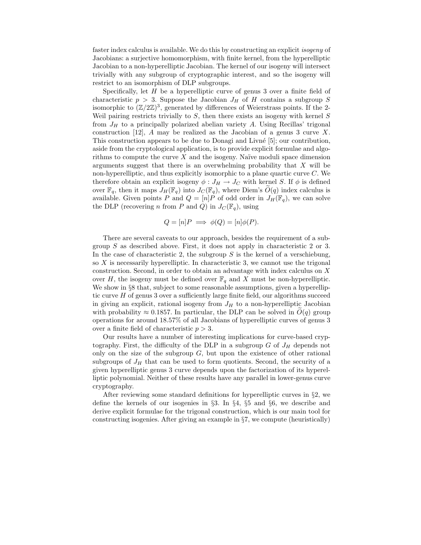faster index calculus is available. We do this by constructing an explicit isogeny of Jacobians: a surjective homomorphism, with finite kernel, from the hyperelliptic Jacobian to a non-hyperelliptic Jacobian. The kernel of our isogeny will intersect trivially with any subgroup of cryptographic interest, and so the isogeny will restrict to an isomorphism of DLP subgroups.

Specifically, let  $H$  be a hyperelliptic curve of genus 3 over a finite field of characteristic  $p > 3$ . Suppose the Jacobian  $J_H$  of H contains a subgroup S isomorphic to  $(\mathbb{Z}/2\mathbb{Z})^3$ , generated by differences of Weierstrass points. If the 2-Weil pairing restricts trivially to  $S$ , then there exists an isogeny with kernel  $S$ from  $J_H$  to a principally polarized abelian variety A. Using Recillas' trigonal construction [12], A may be realized as the Jacobian of a genus 3 curve  $X$ . This construction appears to be due to Donagi and Livn´e [5]; our contribution, aside from the cryptological application, is to provide explicit formulae and algorithms to compute the curve  $X$  and the isogeny. Naïve moduli space dimension arguments suggest that there is an overwhelming probability that  $X$  will be non-hyperelliptic, and thus explicitly isomorphic to a plane quartic curve C. We therefore obtain an explicit isogeny  $\phi: J_H \to J_C$  with kernel S. If  $\phi$  is defined over  $\mathbb{F}_q$ , then it maps  $J_H(\mathbb{F}_q)$  into  $J_C(\mathbb{F}_q)$ , where Diem's  $O(q)$  index calculus is available. Given points P and  $Q = [n]P$  of odd order in  $J_H(\mathbb{F}_q)$ , we can solve the DLP (recovering n from P and Q) in  $J_c(\mathbb{F}_q)$ , using

$$
Q = [n]P \implies \phi(Q) = [n]\phi(P).
$$

There are several caveats to our approach, besides the requirement of a subgroup S as described above. First, it does not apply in characteristic 2 or 3. In the case of characteristic 2, the subgroup  $S$  is the kernel of a verschiebung, so  $X$  is necessarily hyperelliptic. In characteristic 3, we cannot use the trigonal construction. Second, in order to obtain an advantage with index calculus on X over H, the isogeny must be defined over  $\mathbb{F}_q$  and X must be non-hyperelliptic. We show in  $\S 8$  that, subject to some reasonable assumptions, given a hyperelliptic curve H of genus 3 over a sufficiently large finite field, our algorithms succeed in giving an explicit, rational isogeny from  $J_H$  to a non-hyperelliptic Jacobian with probability  $\approx 0.1857$ . In particular, the DLP can be solved in  $O(q)$  group operations for around 18.57% of all Jacobians of hyperelliptic curves of genus 3 over a finite field of characteristic  $p > 3$ .

Our results have a number of interesting implications for curve-based cryptography. First, the difficulty of the DLP in a subgroup  $G$  of  $J_H$  depends not only on the size of the subgroup  $G$ , but upon the existence of other rational subgroups of  $J_H$  that can be used to form quotients. Second, the security of a given hyperelliptic genus 3 curve depends upon the factorization of its hyperelliptic polynomial. Neither of these results have any parallel in lower-genus curve cryptography.

After reviewing some standard definitions for hyperelliptic curves in  $\S2$ , we define the kernels of our isogenies in  $\S$ 3. In  $\S$ 4,  $\S$ 5 and  $\S$ 6, we describe and derive explicit formulae for the trigonal construction, which is our main tool for constructing isogenies. After giving an example in §7, we compute (heuristically)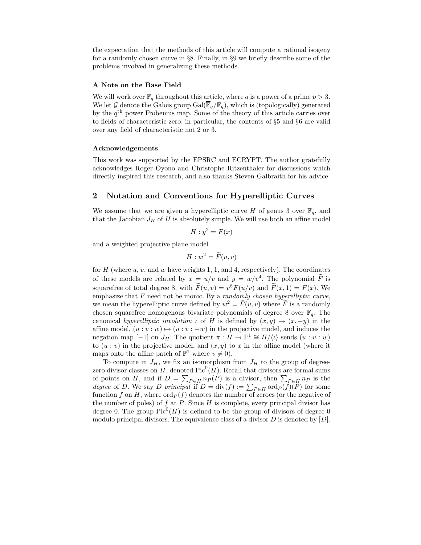the expectation that the methods of this article will compute a rational isogeny for a randomly chosen curve in §8. Finally, in §9 we briefly describe some of the problems involved in generalizing these methods.

#### A Note on the Base Field

We will work over  $\mathbb{F}_q$  throughout this article, where q is a power of a prime  $p > 3$ . We let G denote the Galois group  $Gal(\overline{\mathbb{F}}_q/\mathbb{F}_q)$ , which is (topologically) generated by the q th power Frobenius map. Some of the theory of this article carries over to fields of characteristic zero: in particular, the contents of §5 and §6 are valid over any field of characteristic not 2 or 3.

#### Acknowledgements

This work was supported by the EPSRC and ECRYPT. The author gratefully acknowledges Roger Oyono and Christophe Ritzenthaler for discussions which directly inspired this research, and also thanks Steven Galbraith for his advice.

#### 2 Notation and Conventions for Hyperelliptic Curves

We assume that we are given a hyperelliptic curve H of genus 3 over  $\mathbb{F}_q$ , and that the Jacobian  $J_H$  of  $H$  is absolutely simple. We will use both an affine model

$$
H: y^2 = F(x)
$$

and a weighted projective plane model

$$
H:w^2=\widetilde{F}(u,v)
$$

for  $H$  (where  $u, v$ , and  $w$  have weights 1, 1, and 4, respectively). The coordinates of these models are related by  $x = u/v$  and  $y = w/v^4$ . The polynomial F is squarefree of total degree 8, with  $\tilde{F}(u, v) = v^8 F(u/v)$  and  $\tilde{F}(x, 1) = F(x)$ . We emphasize that  $F$  need not be monic. By a *randomly chosen hyperelliptic curve*, we mean the hyperelliptic curve defined by  $w^2 = \tilde{F}(u, v)$  where  $\tilde{F}$  is a randomly chosen squarefree homogenous bivariate polynomials of degree 8 over  $\mathbb{F}_q$ . The canonical hyperelliptic involution  $\iota$  of H is defined by  $(x, y) \mapsto (x, -y)$  in the affine model,  $(u : v : w) \mapsto (u : v : -w)$  in the projective model, and induces the negation map [-1] on  $J_H$ . The quotient  $\pi : H \to \mathbb{P}^1 \cong H/\langle \iota \rangle$  sends  $(u : v : w)$ to  $(u : v)$  in the projective model, and  $(x, y)$  to x in the affine model (where it maps onto the affine patch of  $\mathbb{P}^1$  where  $v \neq 0$ .

To compute in  $J_H$ , we fix an isomorphism from  $J_H$  to the group of degreezero divisor classes on H, denoted  $Pic^0(H)$ . Recall that divisors are formal sums of points on H, and if  $D = \sum_{P \in H} n_P(P)$  is a divisor, then  $\sum_{P \in H} n_P$  is the degree of D. We say D principal if  $D = \text{div}(f) := \sum_{P \in H} \text{ord}_P(f)(P)$  for some function f on H, where  $\text{ord}_P(f)$  denotes the number of zeroes (or the negative of the number of poles) of f at P. Since  $H$  is complete, every principal divisor has degree 0. The group  $Pic^0(H)$  is defined to be the group of divisors of degree 0 modulo principal divisors. The equivalence class of a divisor  $D$  is denoted by  $[D]$ .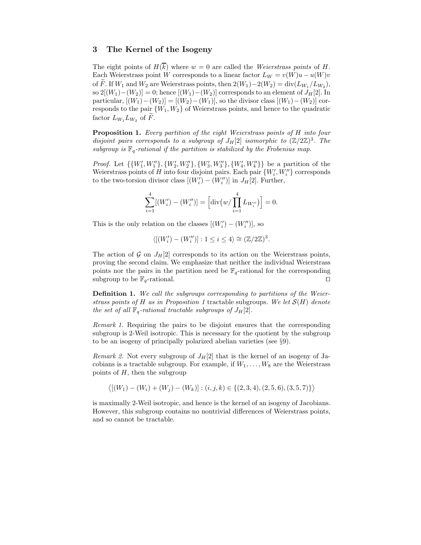### 3 The Kernel of the Isogeny

The eight points of  $H(k)$  where  $w = 0$  are called the Weierstrass points of H. Each Weierstrass point W corresponds to a linear factor  $L_W = v(W)u - u(W)v$ of F. If  $W_1$  and  $W_2$  are Weierstrass points, then  $2(W_1)-2(W_2) = \text{div}(L_{W_1}/L_{W_2}),$ so  $2[(W_1)-(W_2)] = 0$ ; hence  $[(W_1)-(W_2)]$  corresponds to an element of  $J_H[2]$ . In particular,  $[(W_1) - (W_2)] = [(W_2) - (W_1)]$ , so the divisor class  $[(W_1) - (W_2)]$  corresponds to the pair  $\{W_1, W_2\}$  of Weierstrass points, and hence to the quadratic factor  $L_{W_1} L_{W_2}$  of F.

Proposition 1. Every partition of the eight Weierstrass points of H into four disjoint pairs corresponds to a subgroup of  $J_H[2]$  isomorphic to  $(\mathbb{Z}/2\mathbb{Z})^3$ . The subgroup is  $\mathbb{F}_q$ -rational if the partition is stabilized by the Frobenius map.

*Proof.* Let  $\{\{W'_1, W''_1\}, \{W'_2, W''_2\}, \{W'_3, W''_3\}, \{W'_4, W''_4\}\}\$  be a partition of the Weierstrass points of H into four disjoint pairs. Each pair  $\{W'_i, W''_i\}$  corresponds to the two-torsion divisor class  $[(W'_i) - (W''_i)]$  in  $J_H[2]$ . Further,

$$
\sum_{i=1}^{4} [(W'_{i}) - (W''_{i})] = \left[ \operatorname{div} (w / \prod_{i=1}^{4} L_{W''_{i}}) \right] = 0.
$$

This is the only relation on the classes  $[(W'_i) - (W''_i)],$  so

$$
\langle [(W_i') - (W_i'')] : 1 \le i \le 4 \rangle \cong (\mathbb{Z}/2\mathbb{Z})^3.
$$

The action of G on  $J_H[2]$  corresponds to its action on the Weierstrass points, proving the second claim. We emphasize that neither the individual Weierstrass points nor the pairs in the partition need be  $\mathbb{F}_q$ -rational for the corresponding subgroup to be  $\mathbb{F}_q$ -rational. □

Definition 1. We call the subgroups corresponding to partitions of the Weierstrass points of H as in Proposition 1 tractable subgroups. We let  $\mathcal{S}(H)$  denote the set of all  $\mathbb{F}_q$ -rational tractable subgroups of  $J_H[2]$ .

Remark 1. Requiring the pairs to be disjoint ensures that the corresponding subgroup is 2-Weil isotropic. This is necessary for the quotient by the subgroup to be an isogeny of principally polarized abelian varieties (see §9).

Remark 2. Not every subgroup of  $J_H[2]$  that is the kernel of an isogeny of Jacobians is a tractable subgroup. For example, if  $W_1, \ldots, W_8$  are the Weierstrass points of  $H$ , then the subgroup

$$
\langle [(W_1)-(W_i)+(W_j)-(W_k)] : (i,j,k) \in \{(2,3,4), (2,5,6), (3,5,7)\}\rangle
$$

is maximally 2-Weil isotropic, and hence is the kernel of an isogeny of Jacobians. However, this subgroup contains no nontrivial differences of Weierstrass points, and so cannot be tractable.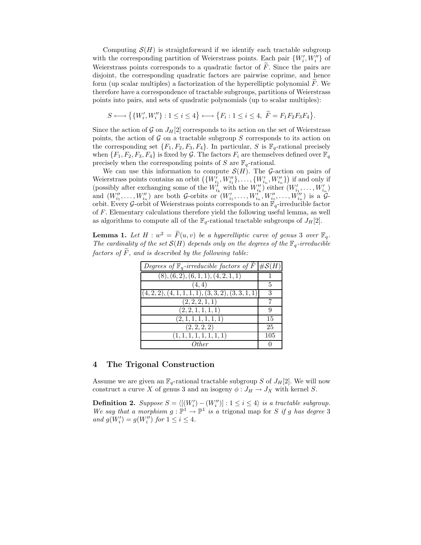Computing  $\mathcal{S}(H)$  is straightforward if we identify each tractable subgroup with the corresponding partition of Weierstrass points. Each pair  $\{W'_i, W''_i\}$  of Weierstrass points corresponds to a quadratic factor of  $\tilde{F}$ . Since the pairs are disjoint, the corresponding quadratic factors are pairwise coprime, and hence form (up scalar multiples) a factorization of the hyperelliptic polynomial  $F$ . We therefore have a correspondence of tractable subgroups, partitions of Weierstrass points into pairs, and sets of quadratic polynomials (up to scalar multiples):

$$
S \longleftrightarrow \big\{ \{W'_i,W''_i\} : 1 \leq i \leq 4 \big\} \longleftrightarrow \big\{F_i : 1 \leq i \leq 4, \ \widetilde{F} = F_1F_2F_3F_4 \big\}.
$$

Since the action of G on  $J_H[2]$  corresponds to its action on the set of Weierstrass points, the action of  $G$  on a tractable subgroup  $S$  corresponds to its action on the corresponding set  $\{F_1, F_2, F_3, F_4\}$ . In particular, S is  $\mathbb{F}_q$ -rational precisely when  $\{F_1, F_2, F_3, F_4\}$  is fixed by G. The factors  $F_i$  are themselves defined over  $\mathbb{F}_q$ precisely when the corresponding points of S are  $\mathbb{F}_q$ -rational.

We can use this information to compute  $\mathcal{S}(H)$ . The G-action on pairs of Weierstrass points contains an orbit  $(\{W'_{i_1}, W''_{i_1}\}, \ldots, \{W'_{i_n}, W''_{i_n}\})$  if and only if (possibly after exchanging some of the  $W'_{i_k}$  with the  $W''_{i_k}$ ) either  $(W'_{i_1}, \ldots, W'_{i_n})$ and  $(W''_{i_1},...,W''_{i_n})$  are both G-orbits or  $(W'_{i_1},...,W''_{i_n},W''_{i_1},...,W''_{i_n})$  is a  $G$ orbit. Every G-orbit of Weierstrass points corresponds to an  $\mathbb{F}_q$ -irreducible factor of F. Elementary calculations therefore yield the following useful lemma, as well as algorithms to compute all of the  $\mathbb{F}_q$ -rational tractable subgroups of  $J_H[2]$ .

**Lemma 1.** Let  $H : w^2 = \widetilde{F}(u, v)$  be a hyperelliptic curve of genus 3 over  $\mathbb{F}_q$ . The cardinality of the set  $S(H)$  depends only on the degrees of the  $\mathbb{F}_q$ -irreducible factors of  $\tilde{F}$ , and is described by the following table:

| Degrees of $\mathbb{F}_q$ -irreducible factors of $F \mid \#S(H)$ |     |
|-------------------------------------------------------------------|-----|
| (8), (6, 2), (6, 1, 1), (4, 2, 1, 1)                              |     |
| (4, 4)                                                            | 5   |
| $(4, 2, 2), (4, 1, 1, 1, 1), (3, 3, 2), (3, 3, 1, 1)$             |     |
| (2, 2, 2, 1, 1)                                                   |     |
| (2, 2, 1, 1, 1, 1)                                                | 9   |
| (2, 1, 1, 1, 1, 1, 1)                                             | 15  |
| $\overline{(2,2,2,2)}$                                            | 25  |
| (1, 1, 1, 1, 1, 1, 1, 1)                                          | 105 |
| Other                                                             |     |

#### 4 The Trigonal Construction

Assume we are given an  $\mathbb{F}_q$ -rational tractable subgroup S of  $J_H[2]$ . We will now construct a curve X of genus 3 and an isogeny  $\phi: J_H \to J_X$  with kernel S.

**Definition 2.** Suppose  $S = \langle [(W'_i) - (W''_i)] : 1 \le i \le 4 \rangle$  is a tractable subgroup. We say that a morphism  $g : \mathbb{P}^1 \to \mathbb{P}^1$  is a trigonal map for S if g has degree 3 and  $g(W_i') = g(W_i'')$  for  $1 \le i \le 4$ .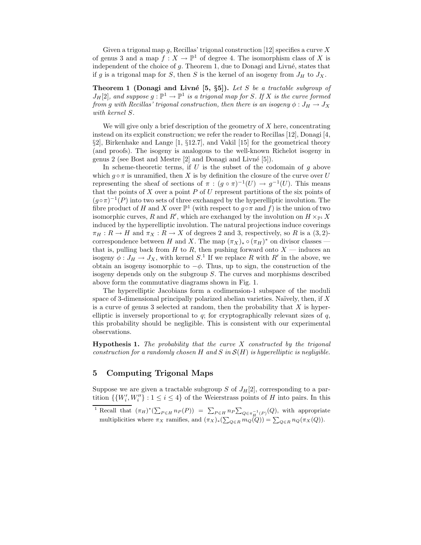Given a trigonal map q, Recillas' trigonal construction [12] specifies a curve X of genus 3 and a map  $f: X \to \mathbb{P}^1$  of degree 4. The isomorphism class of X is independent of the choice of  $g$ . Theorem 1, due to Donagi and Livné, states that if g is a trigonal map for S, then S is the kernel of an isogeny from  $J_H$  to  $J_X$ .

Theorem 1 (Donagi and Livné  $[5, \S5]$ ). Let S be a tractable subgroup of  $J_H[2]$ , and suppose  $g : \mathbb{P}^1 \to \mathbb{P}^1$  is a trigonal map for S. If X is the curve formed from g with Recillas' trigonal construction, then there is an isogeny  $\phi: J_H \to J_X$ with kernel S.

We will give only a brief description of the geometry of  $X$  here, concentrating instead on its explicit construction; we refer the reader to Recillas [12], Donagi [4, §2], Birkenhake and Lange [1, §12.7], and Vakil [15] for the geometrical theory (and proofs). The isogeny is analogous to the well-known Richelot isogeny in genus 2 (see Bost and Mestre [2] and Donagi and Livn´e [5]).

In scheme-theoretic terms, if  $U$  is the subset of the codomain of  $g$  above which  $g \circ \pi$  is unramified, then X is by definition the closure of the curve over U representing the sheaf of sections of  $\pi : (g \circ \pi)^{-1}(U) \to g^{-1}(U)$ . This means that the points of  $X$  over a point  $P$  of  $U$  represent partitions of the six points of  $(g \circ \pi)^{-1}(P)$  into two sets of three exchanged by the hyperelliptic involution. The fibre product of H and X over  $\mathbb{P}^1$  (with respect to  $g \circ \pi$  and f) is the union of two isomorphic curves, R and R', which are exchanged by the involution on  $H \times_{\mathbb{P}^1} X$ induced by the hyperelliptic involution. The natural projections induce coverings  $\pi_H : R \to H$  and  $\pi_X : R \to X$  of degrees 2 and 3, respectively, so R is a (3,2)correspondence between H and X. The map  $(\pi_X)_* \circ (\pi_H)^*$  on divisor classes that is, pulling back from  $H$  to  $R$ , then pushing forward onto  $X$  — induces an isogeny  $\phi: J_H \to J_X$ , with kernel  $S^1$ . If we replace R with R' in the above, we obtain an isogeny isomorphic to  $-\phi$ . Thus, up to sign, the construction of the isogeny depends only on the subgroup S. The curves and morphisms described above form the commutative diagrams shown in Fig. 1.

The hyperelliptic Jacobians form a codimension-1 subspace of the moduli space of 3-dimensional principally polarized abelian varieties. Naïvely, then, if  $X$ is a curve of genus 3 selected at random, then the probability that  $X$  is hyperelliptic is inversely proportional to  $q$ ; for cryptographically relevant sizes of  $q$ , this probability should be negligible. This is consistent with our experimental observations.

**Hypothesis 1.** The probability that the curve  $X$  constructed by the trigonal construction for a randomly chosen H and S in  $\mathcal{S}(H)$  is hyperelliptic is negligible.

# 5 Computing Trigonal Maps

Suppose we are given a tractable subgroup S of  $J_H[2]$ , corresponding to a partition  $\{ \{W'_i, W''_i\} : 1 \leq i \leq 4 \}$  of the Weierstrass points of H into pairs. In this

<sup>&</sup>lt;sup>1</sup> Recall that  $(\pi_H)^*(\sum_{P \in H} n_P(P)) = \sum_{P \in H} n_P \sum_{Q \in \pi_H^{-1}(P)}(Q)$ , with appropriate multiplicities where  $\pi_X$  ramifies, and  $(\pi_X)_*(\sum_{Q\in R} m_Q(Q)) = \sum_{Q\in R} n_Q(\pi_X(Q)).$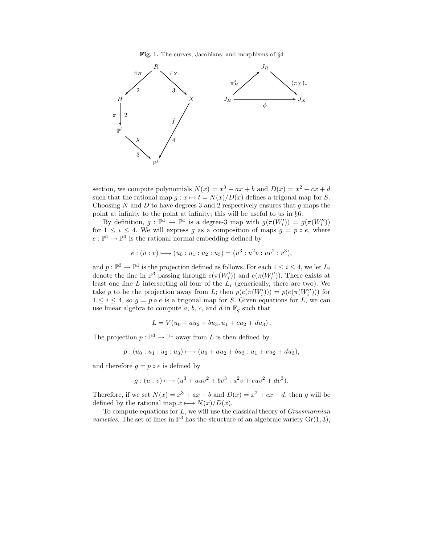Fig. 1. The curves, Jacobians, and morphisms of §4



section, we compute polynomials  $N(x) = x^3 + ax + b$  and  $D(x) = x^2 + cx + d$ such that the rational map  $g: x \mapsto t = N(x)/D(x)$  defines a trigonal map for S. Choosing  $N$  and  $D$  to have degrees 3 and 2 respectively ensures that  $g$  maps the point at infinity to the point at infinity; this will be useful to us in §6.

By definition,  $g : \mathbb{P}^1 \to \mathbb{P}^1$  is a degree-3 map with  $g(\pi(W_i')) = g(\pi(W_i''))$ for  $1 \leq i \leq 4$ . We will express g as a composition of maps  $g = p \circ e$ , where  $e:\mathbb{P}^1\to\mathbb{P}^3$  is the rational normal embedding defined by

$$
e:(u:v) \longmapsto (u_0:u_1:u_2:u_3)=(u^3:u^2v:uv^2:v^3),
$$

and  $p : \mathbb{P}^3 \to \mathbb{P}^1$  is the projection defined as follows. For each  $1 \leq i \leq 4$ , we let  $L_i$ denote the line in  $\mathbb{P}^3$  passing through  $e(\pi(W_i'))$  and  $e(\pi(W_i''))$ . There exists at least one line  $L$  intersecting all four of the  $L_i$  (generically, there are two). We take p to be the projection away from L; then  $p(e(\pi(W_i'))) = p(e(\pi(W_i')))$  for  $1 \leq i \leq 4$ , so  $g = p \circ e$  is a trigonal map for S. Given equations for L, we can use linear algebra to compute a, b, c, and d in  $\mathbb{F}_q$  such that

$$
L = V(u_0 + au_2 + bu_3, u_1 + cu_2 + du_3).
$$

The projection  $p: \mathbb{P}^3 \to \mathbb{P}^1$  away from L is then defined by

$$
p: (u_0:u_1:u_2:u_3)\longmapsto (u_0+au_2+bu_3:u_1+cu_2+du_3),
$$

and therefore  $q = p \circ e$  is defined by

$$
g:(u:v) \longrightarrow (u^3 + auv^2 + bv^3 : u^2v + cuv^2 + dv^3).
$$

Therefore, if we set  $N(x) = x^3 + ax + b$  and  $D(x) = x^2 + cx + d$ , then g will be defined by the rational map  $x \longmapsto N(x)/D(x)$ .

To compute equations for  $L$ , we will use the classical theory of *Grassmannian* varieties. The set of lines in  $\mathbb{P}^3$  has the structure of an algebraic variety  $Gr(1,3)$ ,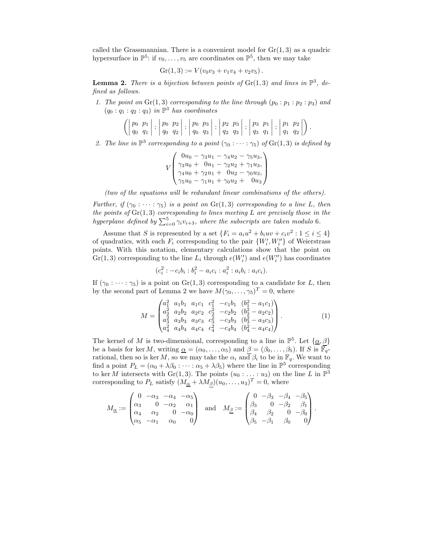called the Grassmannian. There is a convenient model for  $Gr(1, 3)$  as a quadric hypersurface in  $\mathbb{P}^5$ : if  $v_0, \ldots, v_5$  are coordinates on  $\mathbb{P}^5$ , then we may take

$$
Gr(1,3) := V(v_0v_3 + v_1v_4 + v_2v_5).
$$

**Lemma 2.** There is a bijection between points of  $Gr(1,3)$  and lines in  $\mathbb{P}^3$ , defined as follows.

1. The point on  $Gr(1,3)$  corresponding to the line through  $(p_0 : p_1 : p_2 : p_3)$  and  $(q_0:q_1:q_2:q_3)$  in  $\mathbb{P}^3$  has coordinates

$$
\left( \left| \begin{array}{cc} p_0 & p_1 \\ q_0 & q_1 \end{array} \right| : \left| \begin{array}{cc} p_0 & p_2 \\ q_0 & q_2 \end{array} \right| : \left| \begin{array}{cc} p_0 & p_3 \\ q_0 & q_3 \end{array} \right| : \left| \begin{array}{cc} p_2 & p_3 \\ q_2 & q_3 \end{array} \right| : \left| \begin{array}{cc} p_3 & p_1 \\ q_3 & q_1 \end{array} \right| : \left| \begin{array}{cc} p_1 & p_2 \\ q_1 & q_2 \end{array} \right| \right).
$$

2. The line in  $\mathbb{P}^3$  corresponding to a point  $(\gamma_0 : \cdots : \gamma_5)$  of  $\text{Gr}(1,3)$  is defined by

$$
V\begin{pmatrix}0u_0 - \gamma_3 u_1 - \gamma_4 u_2 - \gamma_5 u_3, \\ \gamma_3 u_0 + 0u_1 - \gamma_2 u_2 + \gamma_1 u_3, \\ \gamma_4 u_0 + \gamma_2 u_1 + 0u_2 - \gamma_0 u_3, \\ \gamma_5 u_0 - \gamma_1 u_1 + \gamma_0 u_2 + 0u_3\end{pmatrix}
$$

(two of the equations will be redundant linear combinations of the others).

Further, if  $(\gamma_0 : \cdots : \gamma_5)$  is a point on  $\text{Gr}(1,3)$  corresponding to a line L, then the points of  $Gr(1,3)$  corresponding to lines meeting L are precisely those in the hyperplane defined by  $\sum_{i=0}^{5} \gamma_i v_{i+3}$ , where the subscripts are taken modulo 6.

Assume that S is represented by a set  $\{F_i = a_i u^2 + b_i u v + c_i v^2 : 1 \leq i \leq 4\}$ of quadratics, with each  $F_i$  corresponding to the pair  $\{W'_i, W''_i\}$  of Weierstrass points. With this notation, elementary calculations show that the point on  $\operatorname{Gr}(1,3)$  corresponding to the line  $L_i$  through  $e(W_i')$  and  $e(W_i'')$  has coordinates

$$
(c_i^2: -c_i b_i : b_i^2 - a_i c_i : a_i^2 : a_i b_i : a_i c_i).
$$

If  $(\gamma_0 : \cdots : \gamma_5)$  is a point on  $\text{Gr}(1,3)$  corresponding to a candidate for L, then by the second part of Lemma 2 we have  $M(\gamma_0, \ldots, \gamma_5)^T = 0$ , where

$$
M = \begin{pmatrix} a_1^2 & a_1b_1 & a_1c_1 & c_1^2 & -c_1b_1 & (b_1^2 - a_1c_1) \\ a_2^2 & a_2b_2 & a_2c_2 & c_2^2 & -c_2b_2 & (b_2^2 - a_2c_2) \\ a_3^2 & a_3b_3 & a_3c_3 & c_3^2 & -c_3b_3 & (b_3^2 - a_3c_3) \\ a_4^2 & a_4b_4 & a_4c_4 & c_4^2 & -c_4b_4 & (b_4^2 - a_4c_4) \end{pmatrix}.
$$
 (1)

The kernel of M is two-dimensional, corresponding to a line in  $\mathbb{P}^5$ . Let  $\{\underline{\alpha}, \underline{\beta}\}$ be a basis for ker M, writing  $\underline{\alpha} = (\alpha_0, \ldots, \alpha_5)$  and  $\beta = (\beta_0, \ldots, \beta_5)$ . If S is  $\overline{\mathbb{F}_q}$ rational, then so is ker M, so we may take the  $\alpha_i$  and  $\beta_i$  to be in  $\mathbb{F}_q$ . We want to find a point  $P_L = (\alpha_0 + \lambda \beta_0 : \cdots : \alpha_5 + \lambda \beta_5)$  where the line in  $\mathbb{P}^5$  corresponding to ker M intersects with  $Gr(1,3)$ . The points  $(u_0: \ldots: u_3)$  on the line L in  $\mathbb{P}^3$ corresponding to  $P_L$  satisfy  $(M_{\underline{\alpha}} + \lambda M_{\beta})(u_0, \dots, u_3)^T = 0$ , where

$$
M_{\underline{\alpha}} := \begin{pmatrix} 0 & -\alpha_3 & -\alpha_4 & -\alpha_5 \\ \alpha_3 & 0 & -\alpha_2 & \alpha_1 \\ \alpha_4 & \alpha_2 & 0 & -\alpha_0 \\ \alpha_5 & -\alpha_1 & \alpha_0 & 0 \end{pmatrix} \text{ and } M_{\underline{\beta}} := \begin{pmatrix} 0 & -\beta_3 & -\beta_4 & -\beta_5 \\ \beta_3 & 0 & -\beta_2 & \beta_1 \\ \beta_4 & \beta_2 & 0 & -\beta_0 \\ \beta_5 & -\beta_1 & \beta_0 & 0 \end{pmatrix}.
$$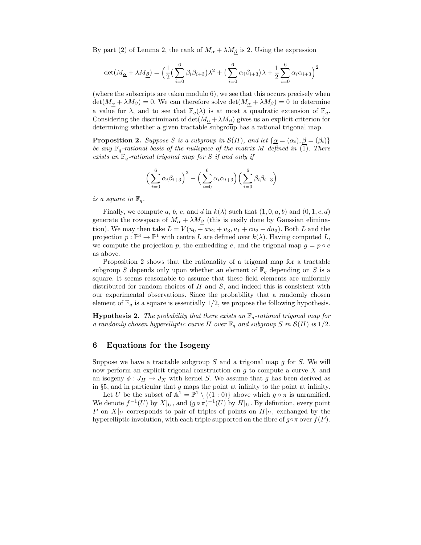By part (2) of Lemma 2, the rank of  $M_{\underline{\alpha}} + \lambda M_{\underline{\beta}}$  is 2. Using the expression

$$
\det(M_{\underline{\alpha}} + \lambda M_{\underline{\beta}}) = \left(\frac{1}{2}\left(\sum_{i=0}^{6} \beta_i \beta_{i+3}\right)\lambda^2 + \left(\sum_{i=0}^{6} \alpha_i \beta_{i+3}\right)\lambda + \frac{1}{2}\sum_{i=0}^{6} \alpha_i \alpha_{i+3}\right)^2
$$

(where the subscripts are taken modulo 6), we see that this occurs precisely when  $\det(M_{\underline{\alpha}} + \lambda M_{\underline{\beta}}) = 0$ . We can therefore solve  $\det(M_{\underline{\alpha}} + \lambda M_{\underline{\beta}}) = 0$  to determine a value for  $\lambda$ , and to see that  $\mathbb{F}_q(\lambda)$  is at most a quadratic extension of  $\mathbb{F}_q$ . Considering the discriminant of  $\det(M_{\alpha} + \lambda M_{\beta})$  gives us an explicit criterion for determining whether a given tractable subgroup has a rational trigonal map.

**Proposition 2.** Suppose S is a subgroup in  $\mathcal{S}(H)$ , and let  $\{\alpha = (\alpha_i), \beta = (\beta_i)\}\$ be any  $\mathbb{F}_q$ -rational basis of the nullspace of the matrix M defined in (1). There exists an  $\mathbb{F}_q$ -rational trigonal map for S if and only if

$$
\left(\sum_{i=0}^{6} \alpha_i \beta_{i+3}\right)^2 - \left(\sum_{i=0}^{6} \alpha_i \alpha_{i+3}\right) \left(\sum_{i=0}^{6} \beta_i \beta_{i+3}\right)
$$

is a square in  $\mathbb{F}_q$ .

Finally, we compute a, b, c, and d in  $k(\lambda)$  such that  $(1, 0, a, b)$  and  $(0, 1, c, d)$ generate the rowspace of  $M_{\alpha} + \lambda M_{\beta}$  (this is easily done by Gaussian elimination). We may then take  $L = V(u_0 + au_2 + u_3, u_1 + cu_2 + du_3)$ . Both L and the projection  $p : \mathbb{P}^3 \to \mathbb{P}^1$  with centre L are defined over  $k(\lambda)$ . Having computed L, we compute the projection p, the embedding e, and the trigonal map  $g = p \circ e$ as above.

Proposition 2 shows that the rationality of a trigonal map for a tractable subgroup S depends only upon whether an element of  $\mathbb{F}_q$  depending on S is a square. It seems reasonable to assume that these field elements are uniformly distributed for random choices of  $H$  and  $S$ , and indeed this is consistent with our experimental observations. Since the probability that a randomly chosen element of  $\mathbb{F}_q$  is a square is essentially 1/2, we propose the following hypothesis.

**Hypothesis 2.** The probability that there exists an  $\mathbb{F}_q$ -rational trigonal map for a randomly chosen hyperelliptic curve H over  $\mathbb{F}_q$  and subgroup S in  $\mathcal{S}(H)$  is  $1/2$ .

#### 6 Equations for the Isogeny

Suppose we have a tractable subgroup  $S$  and a trigonal map  $g$  for  $S$ . We will now perform an explicit trigonal construction on  $g$  to compute a curve  $X$  and an isogeny  $\phi: J_H \to J_X$  with kernel S. We assume that g has been derived as in  $\S5$ , and in particular that g maps the point at infinity to the point at infinity.

Let U be the subset of  $\mathbb{A}^1 = \mathbb{P}^1 \setminus \{(1:0)\}$  above which  $g \circ \pi$  is unramified. We denote  $f^{-1}(U)$  by  $X|_U$ , and  $(g \circ \pi)^{-1}(U)$  by  $H|_U$ . By definition, every point P on  $X|_U$  corresponds to pair of triples of points on  $H|_U$ , exchanged by the hyperelliptic involution, with each triple supported on the fibre of  $g \circ \pi$  over  $f(P)$ .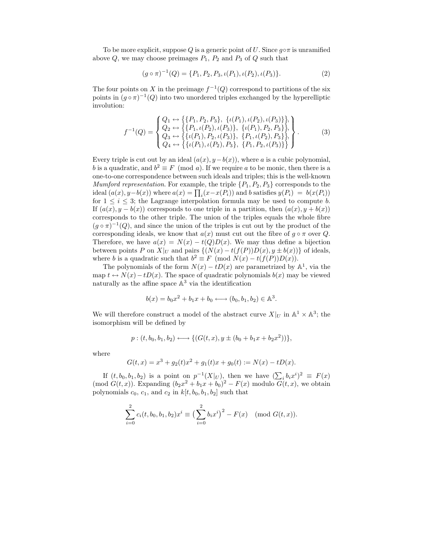To be more explicit, suppose Q is a generic point of U. Since  $q \circ \pi$  is unramified above  $Q$ , we may choose preimages  $P_1$ ,  $P_2$  and  $P_3$  of  $Q$  such that

$$
(g \circ \pi)^{-1}(Q) = \{P_1, P_2, P_3, \iota(P_1), \iota(P_2), \iota(P_3)\}.
$$
 (2)

The four points on X in the preimage  $f^{-1}(Q)$  correspond to partitions of the six points in  $(g \circ \pi)^{-1}(Q)$  into two unordered triples exchanged by the hyperelliptic involution:

$$
f^{-1}(Q) = \begin{cases} Q_1 \leftrightarrow \{\{P_1, P_2, P_3\}, \ \{ \iota(P_1), \iota(P_2), \iota(P_3) \} \}, \\ Q_2 \leftrightarrow \{\{P_1, \iota(P_2), \iota(P_3)\}, \ \{ \iota(P_1), P_2, P_3 \} \}, \\ Q_3 \leftrightarrow \{\{\iota(P_1), P_2, \iota(P_3) \}, \ \{P_1, \iota(P_2), P_3 \} \}, \\ Q_4 \leftrightarrow \{\{\iota(P_1), \iota(P_2), P_3 \}, \ \{P_1, P_2, \iota(P_3) \} \} \end{cases} \tag{3}
$$

Every triple is cut out by an ideal  $(a(x), y - b(x))$ , where a is a cubic polynomial, b is a quadratic, and  $b^2 \equiv F \pmod{a}$ . If we require a to be monic, then there is a one-to-one correspondence between such ideals and triples; this is the well-known *Mumford representation.* For example, the triple  $\{P_1, P_2, P_3\}$  corresponds to the ideal  $(a(x), y - b(x))$  where  $a(x) = \prod_i (x - x(P_i))$  and b satisfies  $y(P_i) = b(x(P_i))$ for  $1 \leq i \leq 3$ ; the Lagrange interpolation formula may be used to compute b. If  $(a(x), y - b(x))$  corresponds to one triple in a partition, then  $(a(x), y + b(x))$ corresponds to the other triple. The union of the triples equals the whole fibre  $(g \circ \pi)^{-1}(Q)$ , and since the union of the triples is cut out by the product of the corresponding ideals, we know that  $a(x)$  must cut out the fibre of  $g \circ \pi$  over Q. Therefore, we have  $a(x) = N(x) - t(Q)D(x)$ . We may thus define a bijection between points P on  $X|_U$  and pairs  $\{(N(x) - t(f(P))D(x), y \pm b(x))\}$  of ideals, where b is a quadratic such that  $b^2 \equiv F \pmod{N(x) - t(f(P))D(x)}$ .

The polynomials of the form  $N(x) - tD(x)$  are parametrized by  $\mathbb{A}^1$ , via the map  $t \leftrightarrow N(x)-tD(x)$ . The space of quadratic polynomials  $b(x)$  may be viewed naturally as the affine space  $\mathbb{A}^3$  via the identification

$$
b(x) = b_0x^2 + b_1x + b_0 \longleftrightarrow (b_0, b_1, b_2) \in \mathbb{A}^3.
$$

We will therefore construct a model of the abstract curve  $X|_U$  in  $\mathbb{A}^1 \times \mathbb{A}^3$ ; the isomorphism will be defined by

$$
p:(t,b_0,b_1,b_2)\longleftrightarrow \{(G(t,x),y\pm (b_0+b_1x+b_2x^2))\},\,
$$

where

$$
G(t, x) = x3 + g2(t)x2 + g1(t)x + g0(t) := N(x) - tD(x).
$$

If  $(t, b_0, b_1, b_2)$  is a point on  $p^{-1}(X|_U)$ , then we have  $(\sum_i b_i x^i)^2 \equiv F(x)$ (mod  $G(t, x)$ ). Expanding  $(b_2x^2 + b_1x + b_0)^2 - F(x)$  modulo  $G(t, x)$ , we obtain polynomials  $c_0$ ,  $c_1$ , and  $c_2$  in  $k[t, b_0, b_1, b_2]$  such that

$$
\sum_{i=0}^{2} c_i(t, b_0, b_1, b_2) x^i \equiv \left(\sum_{i=0}^{2} b_i x^i\right)^2 - F(x) \pmod{G(t, x)}.
$$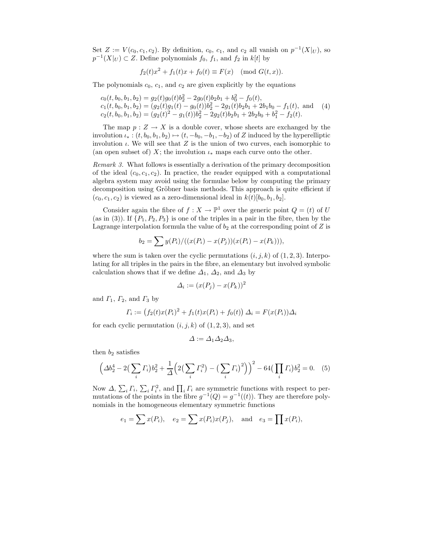Set  $Z := V(c_0, c_1, c_2)$ . By definition,  $c_0$ ,  $c_1$ , and  $c_2$  all vanish on  $p^{-1}(X|_U)$ , so  $p^{-1}(X|_U) \subset Z$ . Define polynomials  $f_0, f_1$ , and  $f_2$  in  $k[t]$  by

$$
f_2(t)x^2 + f_1(t)x + f_0(t) \equiv F(x) \pmod{G(t,x)}
$$
.

The polynomials  $c_0$ ,  $c_1$ , and  $c_2$  are given explicitly by the equations

$$
c_0(t, b_0, b_1, b_2) = g_2(t)g_0(t)b_2^2 - 2g_0(t)b_2b_1 + b_0^2 - f_0(t),
$$
  
\n
$$
c_1(t, b_0, b_1, b_2) = (g_2(t)g_1(t) - g_0(t))b_2^2 - 2g_1(t)b_2b_1 + 2b_1b_0 - f_1(t),
$$
 and (4)  
\n
$$
c_2(t, b_0, b_1, b_2) = (g_2(t)^2 - g_1(t))b_2^2 - 2g_2(t)b_2b_1 + 2b_2b_0 + b_1^2 - f_2(t).
$$

The map  $p: Z \to X$  is a double cover, whose sheets are exchanged by the involution  $\iota_* : (t, b_0, b_1, b_2) \mapsto (t, -b_0, -b_1, -b_2)$  of Z induced by the hyperelliptic involution  $\iota$ . We will see that Z is the union of two curves, each isomorphic to (an open subset of) X; the involution  $\iota_*$  maps each curve onto the other.

Remark 3. What follows is essentially a derivation of the primary decomposition of the ideal  $(c_0, c_1, c_2)$ . In practice, the reader equipped with a computational algebra system may avoid using the formulae below by computing the primary decomposition using Gröbner basis methods. This approach is quite efficient if  $(c_0, c_1, c_2)$  is viewed as a zero-dimensional ideal in  $k(t)[b_0, b_1, b_2]$ .

Consider again the fibre of  $f : X \to \mathbb{P}^1$  over the generic point  $Q = (t)$  of U (as in (3)). If  $\{P_1, P_2, P_3\}$  is one of the triples in a pair in the fibre, then by the Lagrange interpolation formula the value of  $b_2$  at the corresponding point of  $Z$  is

$$
b_2 = \sum y(P_i) / ((x(P_i) - x(P_j))(x(P_i) - x(P_k))),
$$

where the sum is taken over the cyclic permutations  $(i, j, k)$  of  $(1, 2, 3)$ . Interpolating for all triples in the pairs in the fibre, an elementary but involved symbolic calculation shows that if we define  $\Delta_1$ ,  $\Delta_2$ , and  $\Delta_3$  by

$$
\Delta_i := (x(P_j) - x(P_k))^2
$$

and  $\Gamma_1$ ,  $\Gamma_2$ , and  $\Gamma_3$  by

$$
\Gamma_i := (f_2(t)x(P_i)^2 + f_1(t)x(P_i) + f_0(t)) \Delta_i = F(x(P_i))\Delta_i
$$

for each cyclic permutation  $(i, j, k)$  of  $(1, 2, 3)$ , and set

$$
\Delta := \Delta_1 \Delta_2 \Delta_3,
$$

then  $b_2$  satisfies

$$
\left(\Delta b_2^4 - 2\left(\sum_i \Gamma_i\right) b_2^2 + \frac{1}{\Delta} \left(2\left(\sum_i \Gamma_i^2\right) - \left(\sum_i \Gamma_i\right)^2\right)\right)^2 - 64\left(\prod_i \Gamma_i\right) b_2^2 = 0. \tag{5}
$$

Now  $\Delta$ ,  $\sum_i \Gamma_i$ ,  $\sum_i \Gamma_i^2$ , and  $\prod_i \Gamma_i$  are symmetric functions with respect to permutations of the points in the fibre  $g^{-1}(Q) = g^{-1}((t))$ . They are therefore polynomials in the homogeneous elementary symmetric functions

$$
e_1 = \sum x(P_i), \quad e_2 = \sum x(P_i)x(P_j), \text{ and } e_3 = \prod x(P_i),
$$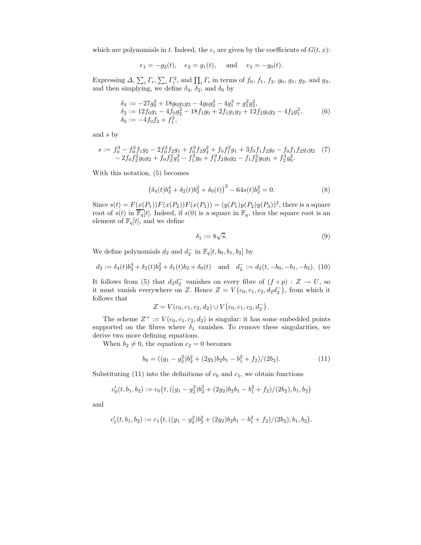which are polynomials in t. Indeed, the  $e_i$  are given by the coefficients of  $G(t, x)$ :

 $e_1 = -g_2(t), \quad e_2 = g_1(t), \quad \text{and} \quad e_3 = -g_0(t).$ 

Expressing  $\Delta$ ,  $\sum_i \Gamma_i$ ,  $\sum_i \Gamma_i^2$ , and  $\prod_i \Gamma_i$  in terms of  $f_0$ ,  $f_1$ ,  $f_2$ ,  $g_0$ ,  $g_1$ ,  $g_2$ , and  $g_3$ , and then simplying, we define  $\delta_4$ ,  $\delta_2$ , and  $\delta_0$  by

$$
\delta_4 := -27g_0^2 + 18g_0g_1g_2 - 4g_0g_2^3 - 4g_1^3 + g_1^2g_2^2,\n\delta_2 := 12f_0g_1 - 4f_0g_2^2 - 18f_1g_0 + 2f_1g_1g_2 + 12f_2g_0g_2 - 4f_2g_1^2,\n\delta_0 := -4f_0f_2 + f_1^2,
$$
\n(6)

and s by

$$
s := f_0^3 - f_0^2 f_1 g_2 - 2 f_0^2 f_2 g_1 + f_0^2 f_2 g_2^2 + f_0 f_1^2 g_1 + 3 f_0 f_1 f_2 g_0 - f_0 f_1 f_2 g_1 g_2 \tag{7} - 2 f_0 f_2^2 g_0 g_2 + f_0 f_2^2 g_1^2 - f_1^3 g_0 + f_1^2 f_2 g_0 g_2 - f_1 f_2^2 g_0 g_1 + f_2^3 g_0^2.
$$

With this notation, (5) becomes

$$
(\delta_4(t)b_2^4 + \delta_2(t)b_2^2 + \delta_0(t))^2 - 64s(t)b_2^2 = 0.
$$
 (8)

Since  $s(t) = F(x(P_1))F(x(P_2))F(x(P_3)) = (y(P_1)y(P_2)y(P_3))^2$ , there is a square root of  $s(t)$  in  $\overline{\mathbb{F}_q}[t]$ . Indeed, if  $s(0)$  is a square in  $\mathbb{F}_q$ , then the square root is an element of  $\mathbb{F}_q[t],$  and we define

$$
\delta_1 := 8\sqrt{s}.\tag{9}
$$

We define polynomials  $d_2$  and  $d_2^ \frac{1}{2}$  in  $\mathbb{F}_q[t, b_0, b_1, b_2]$  by

$$
d_2 := \delta_4(t)b_2^4 + \delta_2(t)b_2^2 + \delta_1(t)b_2 + \delta_0(t) \quad \text{and} \quad d_2^- := d_2(t, -b_0, -b_1, -b_2). \tag{10}
$$

It follows from (5) that  $d_2 d_2^ \overline{2}$  vanishes on every fibre of  $(f \circ p) : Z \to U$ , so it must vanish everywhere on Z. Hence  $Z = V(c_0, c_1, c_2, d_2 d_2^-)$ , from which it follows that

$$
Z = V(c_0, c_1, c_2, d_2) \cup V(c_0, c_1, c_2, d_2^-).
$$

The scheme  $Z^+ := V(c_0, c_1, c_2, d_2)$  is singular: it has some embedded points supported on the fibres where  $\delta_1$  vanishes. To remove these singularities, we derive two more defining equations.

When  $b_2 \neq 0$ , the equation  $c_2 = 0$  becomes

$$
b_0 = ((g_1 - g_2^2)b_2^2 + (2g_2)b_2b_1 - b_1^2 + f_2)/(2b_2). \tag{11}
$$

Substituting (11) into the definitions of  $c_0$  and  $c_1$ , we obtain functions

$$
c'_0(t, b_1, b_2) := c_0(t, ((g_1 - g_2^2)b_2^2 + (2g_2)b_2b_1 - b_1^2 + f_2)/(2b_2), b_1, b_2)
$$

and

$$
c'_1(t, b_1, b_2) := c_1(t, ((g_1 - g_2^2)b_2^2 + (2g_2)b_2b_1 - b_1^2 + f_2)/(2b_2), b_1, b_2).
$$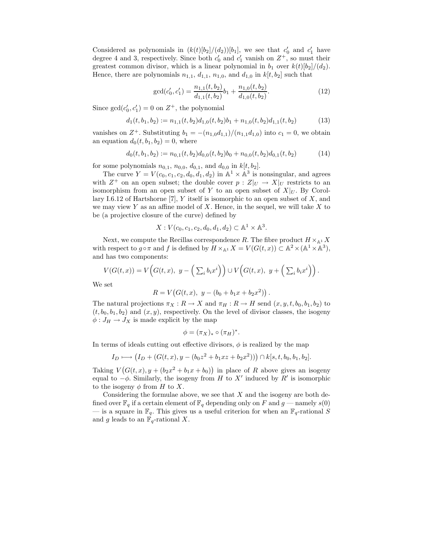Considered as polynomials in  $(k(t)[b_2]/(d_2))[b_1]$ , we see that  $c'_0$  and  $c'_1$  have degree 4 and 3, respectively. Since both  $c'_0$  and  $c'_1$  vanish on  $Z^+$ , so must their greatest common divisor, which is a linear polynomial in  $b_1$  over  $k(t)[b_2]/(d_2)$ . Hence, there are polynomials  $n_{1,1}$ ,  $d_{1,1}$ ,  $n_{1,0}$ , and  $d_{1,0}$  in  $k[t, b_2]$  such that

$$
\gcd(c'_0, c'_1) = \frac{n_{1,1}(t, b_2)}{d_{1,1}(t, b_2)} b_1 + \frac{n_{1,0}(t, b_2)}{d_{1,0}(t, b_2)}.
$$
\n(12)

Since  $gcd(c'_0, c'_1) = 0$  on  $Z^+$ , the polynomial

$$
d_1(t, b_1, b_2) := n_{1,1}(t, b_2) d_{1,0}(t, b_2) b_1 + n_{1,0}(t, b_2) d_{1,1}(t, b_2)
$$
\n(13)

vanishes on  $Z^+$ . Substituting  $b_1 = -(n_{1,0}d_{1,1})/(n_{1,1}d_{1,0})$  into  $c_1 = 0$ , we obtain an equation  $d_0(t, b_1, b_2) = 0$ , where

$$
d_0(t, b_1, b_2) := n_{0,1}(t, b_2) d_{0,0}(t, b_2) b_0 + n_{0,0}(t, b_2) d_{0,1}(t, b_2)
$$
\n
$$
(14)
$$

for some polynomials  $n_{0,1}$ ,  $n_{0,0}$ ,  $d_{0,1}$ , and  $d_{0,0}$  in  $k[t, b_2]$ .

The curve  $Y = V(c_0, c_1, c_2, d_0, d_1, d_2)$  in  $\mathbb{A}^1 \times \mathbb{A}^3$  is nonsingular, and agrees with  $Z^+$  on an open subset; the double cover  $p: Z|_U \to X|_U$  restricts to an isomorphism from an open subset of Y to an open subset of  $X|_U$ . By Corollary I.6.12 of Hartshorne  $[7]$ , Y itself is isomorphic to an open subset of  $X$ , and we may view Y as an affine model of X. Hence, in the sequel, we will take  $X$  to be (a projective closure of the curve) defined by

$$
X: V(c_0, c_1, c_2, d_0, d_1, d_2) \subset \mathbb{A}^1 \times \mathbb{A}^3.
$$

Next, we compute the Recillas correspondence R. The fibre product  $H \times_{\mathbb{A}^1} X$ with respect to  $g \circ \pi$  and f is defined by  $H \times_{\mathbb{A}^1} X = V(G(t, x)) \subset \mathbb{A}^2 \times (\mathbb{A}^1 \times \mathbb{A}^3)$ , and has two components:

$$
V(G(t,x)) = V\Big(G(t,x), y - \Big(\sum_i b_i x^i\Big)\Big) \cup V\Big(G(t,x), y + \Big(\sum_i b_i x^i\Big)\Big).
$$

We set

$$
R = V\big(G(t, x), y - (b_0 + b_1x + b_2x^2)\big).
$$

The natural projections  $\pi_X : R \to X$  and  $\pi_H : R \to H$  send  $(x, y, t, b_0, b_1, b_2)$  to  $(t, b_0, b_1, b_2)$  and  $(x, y)$ , respectively. On the level of divisor classes, the isogeny  $\phi: J_H \to J_X$  is made explicit by the map

$$
\phi = (\pi_X)_* \circ (\pi_H)^*.
$$

In terms of ideals cutting out effective divisors,  $\phi$  is realized by the map

$$
I_D \longmapsto (I_D + (G(t, x), y - (b_0 z^2 + b_1 xz + b_2 x^2))) \cap k[s, t, b_0, b_1, b_2].
$$

Taking  $V(G(t, x), y + (b_2x^2 + b_1x + b_0))$  in place of R above gives an isogeny equal to  $-\phi$ . Similarly, the isogeny from H to X' induced by R' is isomorphic to the isogeny  $\phi$  from H to X.

Considering the formulae above, we see that  $X$  and the isogeny are both defined over  $\mathbb{F}_q$  if a certain element of  $\mathbb{F}_q$  depending only on F and  $g$  — namely  $s(0)$ — is a square in  $\mathbb{F}_q$ . This gives us a useful criterion for when an  $\mathbb{F}_q$ -rational S and g leads to an  $\mathbb{F}_q$ -rational X.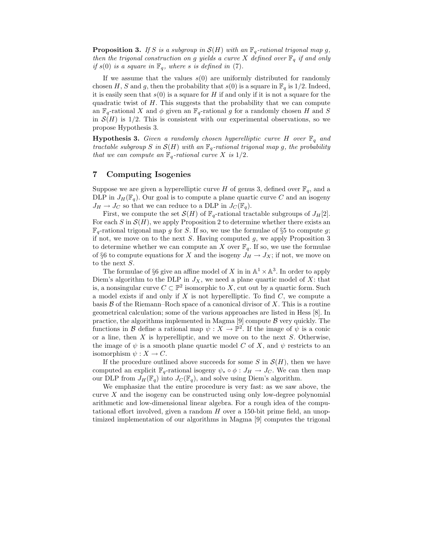**Proposition 3.** If S is a subgroup in  $\mathcal{S}(H)$  with an  $\mathbb{F}_q$ -rational trigonal map g, then the trigonal construction on g yields a curve X defined over  $\mathbb{F}_q$  if and only if  $s(0)$  is a square in  $\mathbb{F}_q$ , where s is defined in (7).

If we assume that the values  $s(0)$  are uniformly distributed for randomly chosen H, S and g, then the probability that  $s(0)$  is a square in  $\mathbb{F}_q$  is 1/2. Indeed, it is easily seen that  $s(0)$  is a square for H if and only if it is not a square for the quadratic twist of H. This suggests that the probability that we can compute an  $\mathbb{F}_q$ -rational X and  $\phi$  given an  $\mathbb{F}_q$ -rational g for a randomly chosen H and S in  $\mathcal{S}(H)$  is 1/2. This is consistent with our experimental observations, so we propose Hypothesis 3.

**Hypothesis 3.** Given a randomly chosen hyperelliptic curve H over  $\mathbb{F}_q$  and tractable subgroup S in  $\mathcal{S}(H)$  with an  $\mathbb{F}_q$ -rational trigonal map g, the probability that we can compute an  $\mathbb{F}_q$ -rational curve X is  $1/2$ .

# 7 Computing Isogenies

Suppose we are given a hyperelliptic curve H of genus 3, defined over  $\mathbb{F}_q$ , and a DLP in  $J_H(\mathbb{F}_q)$ . Our goal is to compute a plane quartic curve C and an isogeny  $J_H \rightarrow J_C$  so that we can reduce to a DLP in  $J_C(\mathbb{F}_q)$ .

First, we compute the set  $\mathcal{S}(H)$  of  $\mathbb{F}_q$ -rational tractable subgroups of  $J_H[2]$ . For each S in  $\mathcal{S}(H)$ , we apply Proposition 2 to determine whether there exists an  $\mathbb{F}_q$ -rational trigonal map g for S. If so, we use the formulae of §5 to compute g; if not, we move on to the next  $S$ . Having computed  $g$ , we apply Proposition 3 to determine whether we can compute an X over  $\mathbb{F}_q$ . If so, we use the formulae of §6 to compute equations for X and the isogeny  $J_H \to J_X$ ; if not, we move on to the next S.

The formulae of §6 give an affine model of X in in  $\mathbb{A}^1 \times \mathbb{A}^3$ . In order to apply Diem's algorithm to the DLP in  $J_X$ , we need a plane quartic model of X: that is, a nonsingular curve  $C \subset \mathbb{P}^2$  isomorphic to X, cut out by a quartic form. Such a model exists if and only if X is not hyperelliptic. To find  $C$ , we compute a basis  $\beta$  of the Riemann–Roch space of a canonical divisor of X. This is a routine geometrical calculation; some of the various approaches are listed in Hess [8]. In practice, the algorithms implemented in Magma  $[9]$  compute  $\beta$  very quickly. The functions in B define a rational map  $\psi : X \to \mathbb{P}^2$ . If the image of  $\psi$  is a conic or a line, then  $X$  is hyperelliptic, and we move on to the next  $S$ . Otherwise, the image of  $\psi$  is a smooth plane quartic model C of X, and  $\psi$  restricts to an isomorphism  $\psi: X \to C$ .

If the procedure outlined above succeeds for some S in  $\mathcal{S}(H)$ , then we have computed an explicit  $\mathbb{F}_q$ -rational isogeny  $\psi_* \circ \phi : J_H \to J_C$ . We can then map our DLP from  $J_H(\mathbb{F}_q)$  into  $J_C(\mathbb{F}_q)$ , and solve using Diem's algorithm.

We emphasize that the entire procedure is very fast: as we saw above, the curve  $X$  and the isogeny can be constructed using only low-degree polynomial arithmetic and low-dimensional linear algebra. For a rough idea of the computational effort involved, given a random  $H$  over a 150-bit prime field, an unoptimized implementation of our algorithms in Magma [9] computes the trigonal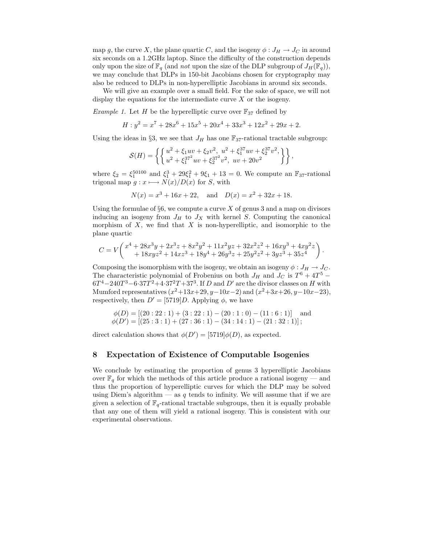map g, the curve X, the plane quartic C, and the isogeny  $\phi: J_H \to J_C$  in around six seconds on a 1.2GHz laptop. Since the difficulty of the construction depends only upon the size of  $\mathbb{F}_q$  (and not upon the size of the DLP subgroup of  $J_H(\mathbb{F}_q)$ ), we may conclude that DLPs in 150-bit Jacobians chosen for cryptography may also be reduced to DLPs in non-hyperelliptic Jacobians in around six seconds.

We will give an example over a small field. For the sake of space, we will not display the equations for the intermediate curve X or the isogeny.

*Example 1.* Let H be the hyperelliptic curve over  $\mathbb{F}_{37}$  defined by

$$
H: y^2 = x^7 + 28x^6 + 15x^5 + 20x^4 + 33x^3 + 12x^2 + 29x + 2.
$$

Using the ideas in §3, we see that  $J_H$  has one  $\mathbb{F}_{37}$ -rational tractable subgroup:

$$
\mathcal{S}(H)=\left\{\left\{\begin{matrix} u^2+\xi_1 u v+\xi_2 v^2,\ u^2+\xi_1^{37} u v+\xi_2^{37} v^2,\\ u^2+\xi_1^{37^2} u v+\xi_2^{37^2} v^2,\ u v+20 v^2\end{matrix}\right\}\right\},
$$

where  $\xi_2 = \xi_1^{50100}$  and  $\xi_1^3 + 29\xi_1^2 + 9\xi_1 + 13 = 0$ . We compute an  $\mathbb{F}_{37}$ -rational trigonal map  $g: x \longmapsto N(x)/D(x)$  for S, with

$$
N(x) = x3 + 16x + 22
$$
, and  $D(x) = x2 + 32x + 18$ .

Using the formulae of  $\S6$ , we compute a curve X of genus 3 and a map on divisors inducing an isogeny from  $J_H$  to  $J_X$  with kernel S. Computing the canonical morphism of  $X$ , we find that  $X$  is non-hyperelliptic, and isomorphic to the plane quartic

$$
C=V \bigg(\frac{x^4+28x^3y+2x^3z+8x^2y^2+11x^2yz+32x^2z^2+16xy^3+4xy^2z}{18xyz^2+14xz^3+18y^4+26y^3z+25y^2z^2+3yz^3+35z^4}\bigg)\,.
$$

Composing the isomorphism with the isogeny, we obtain an isogeny  $\phi: J_H \to J_C$ . The characteristic polynomial of Frobenius on both  $J_H$  and  $J_C$  is  $T^6 + 4T^5$  –  $6T^{4}-240T^{3}-6.37T^{2}+4.37^{2}T+37^{3}$ . If D and D' are the divisor classes on H with Mumford representatives  $(x^2+13x+29, y-10x-2)$  and  $(x^2+3x+26, y-10x-23)$ , respectively, then  $D' = [5719]D$ . Applying  $\phi$ , we have

$$
\phi(D) = [(20:22:1) + (3:22:1) - (20:1:0) - (11:6:1)]
$$
and  

$$
\phi(D') = [(25:3:1) + (27:36:1) - (34:14:1) - (21:32:1)];
$$

direct calculation shows that  $\phi(D') = [5719]\phi(D)$ , as expected.

#### 8 Expectation of Existence of Computable Isogenies

We conclude by estimating the proportion of genus 3 hyperelliptic Jacobians over  $\mathbb{F}_q$  for which the methods of this article produce a rational isogeny — and thus the proportion of hyperelliptic curves for which the DLP may be solved using Diem's algorithm — as q tends to infinity. We will assume that if we are given a selection of  $\mathbb{F}_q$ -rational tractable subgroups, then it is equally probable that any one of them will yield a rational isogeny. This is consistent with our experimental observations.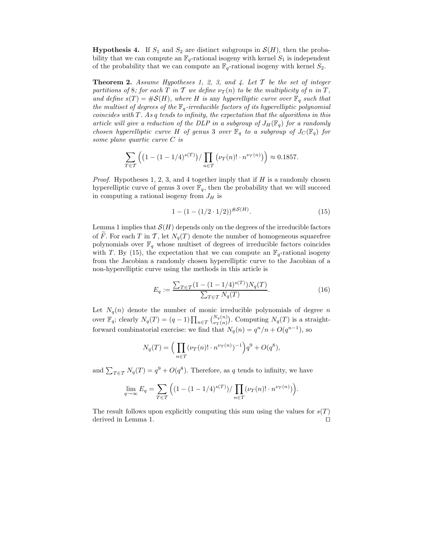**Hypothesis 4.** If  $S_1$  and  $S_2$  are distinct subgroups in  $\mathcal{S}(H)$ , then the probability that we can compute an  $\mathbb{F}_q$ -rational isogeny with kernel  $S_1$  is independent of the probability that we can compute an  $\mathbb{F}_q$ -rational isogeny with kernel  $S_2$ .

**Theorem 2.** Assume Hypotheses 1, 2, 3, and 4. Let  $T$  be the set of integer partitions of 8; for each T in T we define  $\nu_T(n)$  to be the multiplicity of n in T, and define  $s(T) = \#S(H)$ , where H is any hyperelliptic curve over  $\mathbb{F}_q$  such that the multiset of degrees of the  $\mathbb{F}_q$ -irreducible factors of its hyperelliptic polynomial coincides with  $T$ . As q tends to infinity, the expectation that the algorithms in this article will give a reduction of the DLP in a subgroup of  $J_H(\mathbb{F}_q)$  for a randomly chosen hyperelliptic curve H of genus 3 over  $\mathbb{F}_q$  to a subgroup of  $J_C(\mathbb{F}_q)$  for some plane quartic curve C is

$$
\sum_{T \in \mathcal{T}} \left( \left( 1 - (1 - 1/4)^{s(T)} \right) / \prod_{n \in \mathcal{T}} \left( \nu_T(n)! \cdot n^{\nu_T(n)} \right) \right) \approx 0.1857.
$$

*Proof.* Hypotheses 1, 2, 3, and 4 together imply that if H is a randomly chosen hyperelliptic curve of genus 3 over  $\mathbb{F}_q$ , then the probability that we will succeed in computing a rational isogeny from  $J_H$  is

$$
1 - (1 - (1/2 \cdot 1/2))^{H\mathcal{S}(H)}.
$$
\n(15)

Lemma 1 implies that  $\mathcal{S}(H)$  depends only on the degrees of the irreducible factors of F. For each T in T, let  $N_q(T)$  denote the number of homogeneous squarefree polynomials over  $\mathbb{F}_q$  whose multiset of degrees of irreducible factors coincides with T. By (15), the expectation that we can compute an  $\mathbb{F}_q$ -rational isogeny from the Jacobian a randomly chosen hyperelliptic curve to the Jacobian of a non-hyperelliptic curve using the methods in this article is

$$
E_q := \frac{\sum_{T \in \mathcal{T}} (1 - (1 - 1/4)^{s(T)}) N_q(T)}{\sum_{T \in \mathcal{T}} N_q(T)}.
$$
\n(16)

Let  $N_q(n)$  denote the number of monic irreducible polynomials of degree n over  $\mathbb{F}_q$ ; clearly  $N_q(T) = (q-1) \prod_{n \in T} {N_q(n) \choose \nu_T(n)}$ . Computing  $N_q(T)$  is a straightforward combinatorial exercise: we find that  $N_q(n) = q^n/n + O(q^{n-1})$ , so

$$
N_q(T)=\Big(\prod_{n\in T}(\nu_T(n)!\cdot n^{\nu_T(n)})^{-1}\Big)q^9+O(q^8),
$$

and  $\sum_{T \in \mathcal{T}} N_q(T) = q^9 + O(q^8)$ . Therefore, as q tends to infinity, we have

$$
\lim_{q \to \infty} E_q = \sum_{T \in \mathcal{T}} \Big( (1 - (1 - 1/4)^{s(T)}) / \prod_{n \in T} (\nu_T(n)! \cdot n^{\nu_T(n)}) \Big).
$$

The result follows upon explicitly computing this sum using the values for  $s(T)$ derived in Lemma 1. □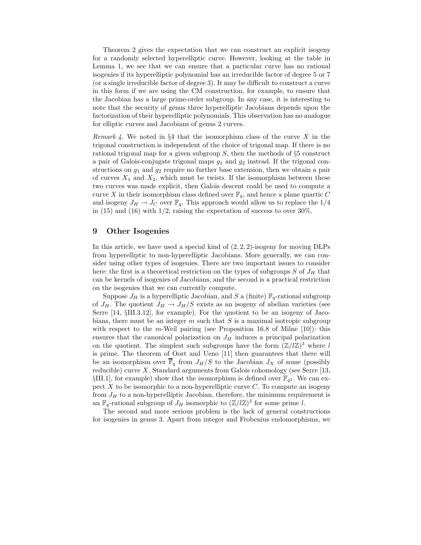Theorem 2 gives the expectation that we can construct an explicit isogeny for a randomly selected hyperelliptic curve. However, looking at the table in Lemma 1, we see that we can ensure that a particular curve has no rational isogenies if its hyperelliptic polynomial has an irreducible factor of degree 5 or 7 (or a single irreducible factor of degree 3). It may be difficult to construct a curve in this form if we are using the CM construction, for example, to ensure that the Jacobian has a large prime-order subgroup. In any case, it is interesting to note that the security of genus three hyperelliptic Jacobians depends upon the factorization of their hyperelliptic polynomials. This observation has no analogue for elliptic curves and Jacobians of genus 2 curves.

Remark 4. We noted in §4 that the isomorphism class of the curve  $X$  in the trigonal construction is independent of the choice of trigonal map. If there is no rational trigonal map for a given subgroup  $S$ , then the methods of  $\S5$  construct a pair of Galois-conjugate trigonal maps  $g_1$  and  $g_2$  instead. If the trigonal constructions on  $g_1$  and  $g_2$  require no further base extension, then we obtain a pair of curves  $X_1$  and  $X_2$ , which must be twists. If the isomorphism between these two curves was made explicit, then Galois descent could be used to compute a curve X in their isomorphism class defined over  $\mathbb{F}_q$ , and hence a plane quartic C and isogeny  $J_H \to J_C$  over  $\mathbb{F}_q$ . This approach would allow us to replace the 1/4 in (15) and (16) with  $1/2$ , raising the expectation of success to over 30%.

### 9 Other Isogenies

In this article, we have used a special kind of  $(2, 2, 2)$ -isogeny for moving DLPs from hyperelliptic to non-hyperelliptic Jacobians. More generally, we can consider using other types of isogenies. There are two important issues to consider here: the first is a theoretical restriction on the types of subgroups  $S$  of  $J_H$  that can be kernels of isogenies of Jacobians, and the second is a practical restriction on the isogenies that we can currently compute.

Suppose  $J_H$  is a hyperelliptic Jacobian, and S a (finite)  $\mathbb{F}_q$ -rational subgroup of  $J_H$ . The quotient  $J_H \to J_H/S$  exists as an isogeny of abelian varieties (see Serre [14, §III.3.12], for example). For the quotient to be an isogeny of Jacobians, there must be an integer  $m$  such that  $S$  is a maximal isotropic subgroup with respect to the m-Weil pairing (see Proposition 16.8 of Milne  $[10]$ ): this ensures that the canonical polarization on  $J_H$  induces a principal polarization on the quotient. The simplest such subgroups have the form  $(\mathbb{Z}/l\mathbb{Z})^3$  where l is prime. The theorem of Oort and Ueno [11] then guarantees that there will be an isomorphism over  $\overline{\mathbb{F}}_q$  from  $J_H/S$  to the Jacobian  $J_X$  of some (possibly reducible) curve  $X$ . Standard arguments from Galois cohomology (see Serre [13, §III.1], for example) show that the isomorphism is defined over  $\mathbb{F}_{q^2}$ . We can expect  $X$  to be isomorphic to a non-hyperelliptic curve  $C$ . To compute an isogeny from  $J_H$  to a non-hyperelliptic Jacobian, therefore, the minimum requirement is an  $\mathbb{F}_q$ -rational subgroup of  $J_H$  isomorphic to  $(\mathbb{Z}/l\mathbb{Z})^3$  for some prime l.

The second and more serious problem is the lack of general constructions for isogenies in genus 3. Apart from integer and Frobenius endomorphisms, we